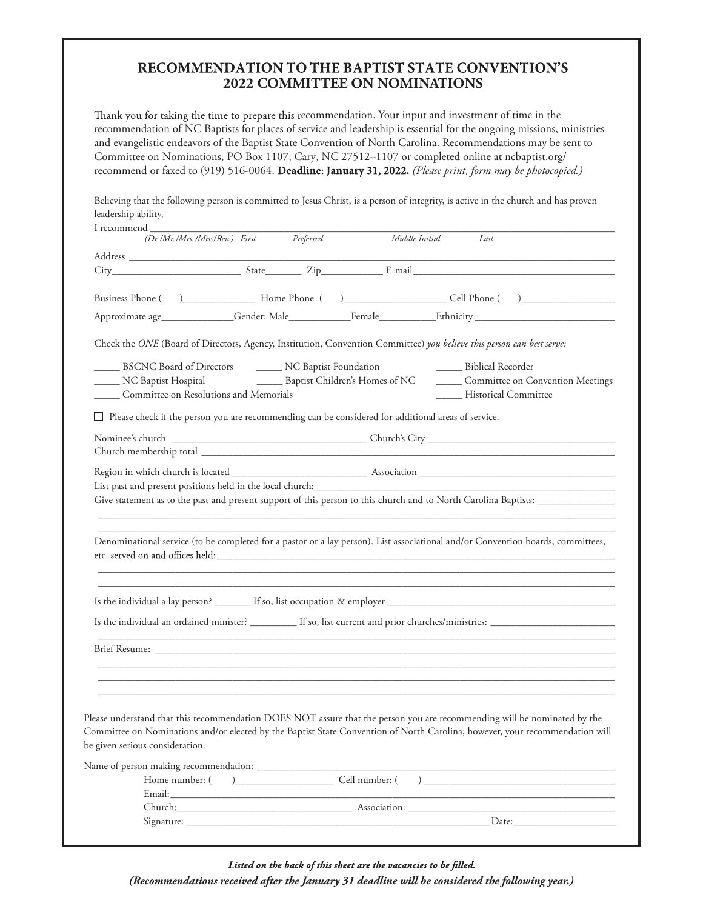## RECOMMENDATION TO THE BAPTIST STATE CONVENTION'S **2022 COMMITTEE ON NOMINATIONS**

Thank you for taking the time to prepare this recommendation. Your input and investment of time in the recommendation of NC Baptists for places of service and leadership is essential for the ongoing missions, ministries and evangelistic endeavors of the Baptist State Convention of North Carolina. Recommendations may be sent to Committee on Nominations, PO Box 1107, Cary, NC 27512–1107 or completed online at ncbaptist.org/ recommend or faxed to (919) 516-0064. Deadline: January 31, 2022. (Please print, form may be photocopied.)

Believing that the following person is committed to Jesus Christ, is a person of integrity, is active in the church and has proven leadership ability,

| I recommend<br>(Dr./Mr./Mrs./Miss/Rev.) First Preferred |  | Middle Initial                                                                                                        | Last                               |                                                                                                                                                                                                                                                                                                         |
|---------------------------------------------------------|--|-----------------------------------------------------------------------------------------------------------------------|------------------------------------|---------------------------------------------------------------------------------------------------------------------------------------------------------------------------------------------------------------------------------------------------------------------------------------------------------|
|                                                         |  |                                                                                                                       |                                    |                                                                                                                                                                                                                                                                                                         |
|                                                         |  |                                                                                                                       |                                    |                                                                                                                                                                                                                                                                                                         |
|                                                         |  |                                                                                                                       |                                    |                                                                                                                                                                                                                                                                                                         |
|                                                         |  |                                                                                                                       |                                    |                                                                                                                                                                                                                                                                                                         |
|                                                         |  |                                                                                                                       |                                    |                                                                                                                                                                                                                                                                                                         |
|                                                         |  | Check the ONE (Board of Directors, Agency, Institution, Convention Committee) you believe this person can best serve: |                                    |                                                                                                                                                                                                                                                                                                         |
| BSCNC Board of Directors _______ NC Baptist Foundation  |  |                                                                                                                       | <b>Example 1</b> Biblical Recorder |                                                                                                                                                                                                                                                                                                         |
| NC Baptist Hospital                                     |  | ____ Baptist Children's Homes of NC                                                                                   |                                    | Committee on Convention Meetings                                                                                                                                                                                                                                                                        |
| Committee on Resolutions and Memorials                  |  |                                                                                                                       | _____ Historical Committee         |                                                                                                                                                                                                                                                                                                         |
|                                                         |  | $\Box$ Please check if the person you are recommending can be considered for additional areas of service.             |                                    |                                                                                                                                                                                                                                                                                                         |
|                                                         |  |                                                                                                                       |                                    |                                                                                                                                                                                                                                                                                                         |
|                                                         |  |                                                                                                                       |                                    |                                                                                                                                                                                                                                                                                                         |
|                                                         |  |                                                                                                                       |                                    |                                                                                                                                                                                                                                                                                                         |
|                                                         |  |                                                                                                                       |                                    |                                                                                                                                                                                                                                                                                                         |
|                                                         |  |                                                                                                                       |                                    |                                                                                                                                                                                                                                                                                                         |
|                                                         |  |                                                                                                                       |                                    | Give statement as to the past and present support of this person to this church and to North Carolina Baptists:                                                                                                                                                                                         |
|                                                         |  |                                                                                                                       |                                    |                                                                                                                                                                                                                                                                                                         |
|                                                         |  |                                                                                                                       |                                    | Denominational service (to be completed for a pastor or a lay person). List associational and/or Convention boards, committees,<br>,我们也不会有什么。""我们的人,我们也不会有什么?""我们的人,我们也不会有什么?""我们的人,我们也不会有什么?""我们的人,我们也不会有什么?""我们的人<br>,我们也不会有什么。""我们的人,我们也不会有什么?""我们的人,我们也不会有什么?""我们的人,我们也不会有什么?""我们的人,我们也不会有什么?""我们的人 |
|                                                         |  |                                                                                                                       |                                    |                                                                                                                                                                                                                                                                                                         |
|                                                         |  |                                                                                                                       |                                    |                                                                                                                                                                                                                                                                                                         |
|                                                         |  |                                                                                                                       |                                    |                                                                                                                                                                                                                                                                                                         |
|                                                         |  |                                                                                                                       |                                    |                                                                                                                                                                                                                                                                                                         |
|                                                         |  |                                                                                                                       |                                    |                                                                                                                                                                                                                                                                                                         |
| be given serious consideration.                         |  |                                                                                                                       |                                    | Please understand that this recommendation DOES NOT assure that the person you are recommending will be nominated by the                                                                                                                                                                                |
|                                                         |  |                                                                                                                       |                                    |                                                                                                                                                                                                                                                                                                         |
|                                                         |  |                                                                                                                       |                                    | Committee on Nominations and/or elected by the Baptist State Convention of North Carolina; however, your recommendation will                                                                                                                                                                            |
|                                                         |  |                                                                                                                       |                                    |                                                                                                                                                                                                                                                                                                         |
|                                                         |  |                                                                                                                       |                                    | Church: Association: Association: Association: Association: Association: Association: Association: Association: Association: Association: Association: Association: Association: Association: Association: Association: Associ                                                                          |

Listed on the back of this sheet are the vacancies to be filled.

*(Recommendations received after the January 31 deadline will be considered the following year.)*